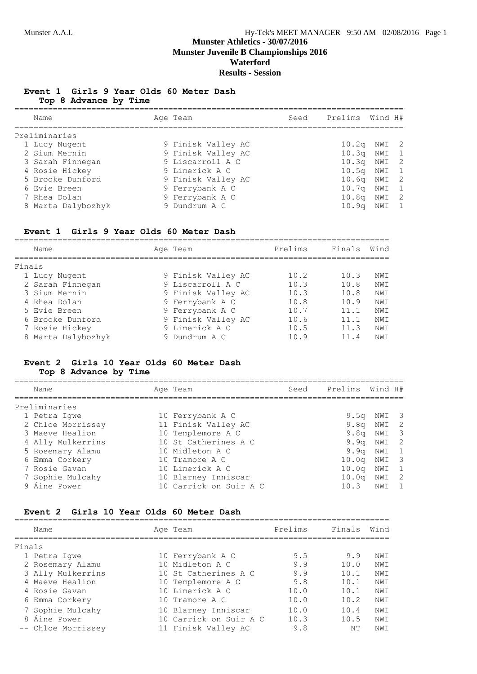# **Munster Athletics - 30/07/2016 Munster Juvenile B Championships 2016 Waterford**

#### **Results - Session**

#### **Event 1 Girls 9 Year Olds 60 Meter Dash Top 8 Advance by Time**

| Name               | Age Team           | Seed | Prelims Wind H#   |       |                |
|--------------------|--------------------|------|-------------------|-------|----------------|
| Preliminaries      |                    |      |                   |       |                |
| 1 Lucy Nugent      | 9 Finisk Valley AC |      | 10.2 <sub>q</sub> | NWI 2 |                |
| 2 Sium Mernin      | 9 Finisk Valley AC |      | 10.3 <sub>q</sub> | NWI 1 |                |
| 3 Sarah Finnegan   | 9 Liscarroll A C   |      | 10.3 <sub>q</sub> | NWI   | $\overline{2}$ |
| 4 Rosie Hickey     | 9 Limerick A C     |      | $10.5q$ NWI       |       | $\overline{1}$ |
| 5 Brooke Dunford   | 9 Finisk Valley AC |      | 10.6 <sub>q</sub> | NWI 2 |                |
| 6 Evie Breen       | 9 Ferrybank A C    |      | 10.7 <sub>q</sub> | NWI   | $\overline{1}$ |
| 7 Rhea Dolan       | 9 Ferrybank A C    |      | 10.8 <sub>q</sub> | NWI 2 |                |
| 8 Marta Dalybozhyk | 9 Dundrum A C      |      | 10.9 <sub>q</sub> | NWI   | $\overline{1}$ |
|                    |                    |      |                   |       |                |

#### **Event 1 Girls 9 Year Olds 60 Meter Dash**

|        | Name               | Age Team           | Prelims | Finals | Wind |
|--------|--------------------|--------------------|---------|--------|------|
| Finals |                    |                    |         |        |      |
|        | 1 Lucy Nugent      | 9 Finisk Valley AC | 10.2    | 10.3   | NWI  |
|        | 2 Sarah Finnegan   | 9 Liscarroll A C   | 10.3    | 10.8   | NWI  |
|        | 3 Sium Mernin      | 9 Finisk Valley AC | 10.3    | 10.8   | NWI  |
|        | 4 Rhea Dolan       | 9 Ferrybank A C    | 10.8    | 10.9   | NWI  |
|        | 5 Evie Breen       | 9 Ferrybank A C    | 10.7    | 11.1   | NWI  |
|        | 6 Brooke Dunford   | 9 Finisk Valley AC | 10.6    | 11.1   | NWI  |
|        | 7 Rosie Hickey     | 9 Limerick A C     | 10.5    | 11.3   | NWI  |
|        | 8 Marta Dalybozhyk | Dundrum A C        | 10.9    | 11.4   | NW T |

#### **Event 2 Girls 10 Year Olds 60 Meter Dash Top 8 Advance by Time**

| Name              | Age Team               | Seed | Prelims | Wind H# |                            |
|-------------------|------------------------|------|---------|---------|----------------------------|
| Preliminaries     |                        |      |         |         |                            |
| 1 Petra Iqwe      | 10 Ferrybank A C       |      | 9.5q    | NWI 3   |                            |
| 2 Chloe Morrissey | 11 Finisk Valley AC    |      | 9.8q    | NWI 2   |                            |
| 3 Maeve Healion   | 10 Templemore A C      |      | 9.8q    | NWI     | $\overline{\phantom{a}}$   |
| 4 Ally Mulkerrins | 10 St Catherines A C   |      | 9.9q    | NWI     | $\overline{\phantom{0}}^2$ |
| 5 Rosemary Alamu  | 10 Midleton A C        |      | 9.9q    | NWI 1   |                            |
| 6 Emma Corkery    | 10 Tramore A C         |      | 10.0q   | NWI     | $\overline{\phantom{a}}$ 3 |
| 7 Rosie Gavan     | 10 Limerick A C        |      | 10.0q   | NWI     | $\overline{1}$             |
| 7 Sophie Mulcahy  | 10 Blarney Inniscar    |      | 10.0q   | NWI     | $\overline{2}$             |
| 9 Áine Power      | 10 Carrick on Suir A C |      | 10.3    | NWI     |                            |

#### **Event 2 Girls 10 Year Olds 60 Meter Dash**

|        | Name               | Age Team               | Prelims | Finals | Wind |
|--------|--------------------|------------------------|---------|--------|------|
| Finals |                    |                        |         |        |      |
|        | 1 Petra Iqwe       | 10 Ferrybank A C       | 9.5     | 9.9    | NWI  |
|        | 2 Rosemary Alamu   | 10 Midleton A C        | 9.9     | 10.0   | NWI  |
|        | 3 Ally Mulkerrins  | 10 St Catherines A C   | 9.9     | 10.1   | NWI  |
|        | 4 Maeve Healion    | 10 Templemore A C      | 9.8     | 10.1   | NWI  |
|        | 4 Rosie Gavan      | 10 Limerick A C        | 10.0    | 10.1   | NWI  |
|        | 6 Emma Corkery     | 10 Tramore A C         | 10.0    | 10.2   | NWI  |
|        | 7 Sophie Mulcahy   | 10 Blarney Inniscar    | 10.0    | 10.4   | NWI  |
|        | 8 Áine Power       | 10 Carrick on Suir A C | 10.3    | 10.5   | NWI  |
|        | -- Chloe Morrissey | 11 Finisk Valley AC    | 9.8     | NΤ     | NWI  |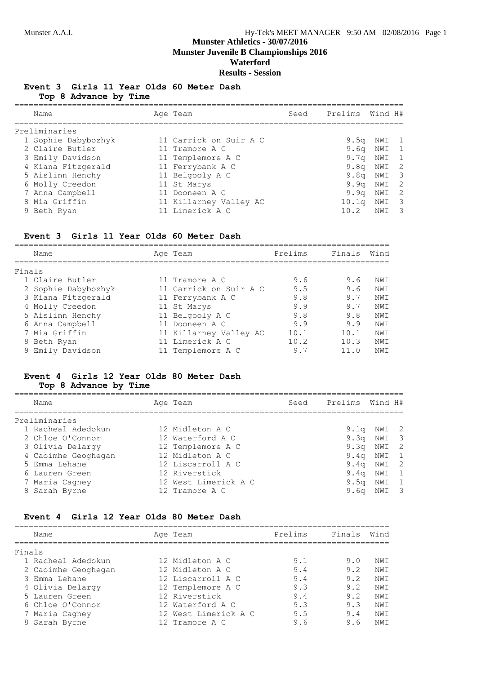# **Munster Athletics - 30/07/2016 Munster Juvenile B Championships 2016**

**Waterford**

**Results - Session**

#### **Event 3 Girls 11 Year Olds 60 Meter Dash Top 8 Advance by Time**

| Name                | Age Team               | Seed | Prelims Wind H#   |     |                         |
|---------------------|------------------------|------|-------------------|-----|-------------------------|
| Preliminaries       |                        |      |                   |     |                         |
| 1 Sophie Dabybozhyk | 11 Carrick on Suir A C |      | 9.5q              | NWI | $\overline{1}$          |
| 2 Claire Butler     | 11 Tramore A C         |      | 9.6 <sub>q</sub>  | NWI | $\overline{1}$          |
| 3 Emily Davidson    | 11 Templemore A C      |      | 9.7a              | NWI | $\mathbf{1}$            |
| 4 Kiana Fitzgerald  | 11 Ferrybank A C       |      | 9.8 <sub>q</sub>  | NWI | $\overline{2}$          |
| 5 Aislinn Henchy    | 11 Belgooly A C        |      | 9.8a              | NWI | - 3                     |
| 6 Molly Creedon     | 11 St Marys            |      | 9.9q              | NWI | - 2                     |
| 7 Anna Campbell     | 11 Dooneen A C         |      | 9.9q              | NWI | -2                      |
| 8 Mia Griffin       | 11 Killarney Valley AC |      | 10.1 <sub>q</sub> | NWI | $\overline{\mathbf{3}}$ |
| 9 Beth Ryan         | 11 Limerick A C        |      | 10.2              | NWI | $\overline{\mathbf{3}}$ |
|                     |                        |      |                   |     |                         |

#### **Event 3 Girls 11 Year Olds 60 Meter Dash**

|        | Name                | Age Team               | Prelims | Finals | Wind |
|--------|---------------------|------------------------|---------|--------|------|
| Finals |                     |                        |         |        |      |
|        | 1 Claire Butler     | 11 Tramore A C         | 9.6     | 9.6    | NWI  |
|        | 2 Sophie Dabybozhyk | 11 Carrick on Suir A C | 9.5     | 9.6    | NW T |
|        | 3 Kiana Fitzgerald  | 11 Ferrybank A C       | 9.8     | 9.7    | NWI  |
|        | 4 Molly Creedon     | 11 St Marys            | 9.9     | 9.7    | NWI  |
|        | 5 Aislinn Henchy    | 11 Belgooly A C        | 9.8     | 9.8    | NWI  |
|        | 6 Anna Campbell     | 11 Dooneen A C         | 9.9     | 9.9    | NWI  |
|        | 7 Mia Griffin       | 11 Killarney Valley AC | 10.1    | 10.1   | NWI  |
|        | 8 Beth Ryan         | 11 Limerick A C        | 10.2    | 10.3   | NWI  |
|        | 9 Emily Davidson    | 11 Templemore A C      | 9.7     | 11.0   | NWI  |

#### **Event 4 Girls 12 Year Olds 80 Meter Dash Top 8 Advance by Time**

================================================================================= Name Age Team Seed Prelims Wind H# ================================================================================= Preliminaries 1 Racheal Adedokun 12 Midleton A C 9.1q NWI 2 2 Chloe O'Connor 12 Waterford A C 9.3q NWI 3 3 Olivia Delargy 12 Templemore A C 9.3q NWI 2 4 Caoimhe Geoghegan 12 Midleton A C 9.4q NWI 1 5 Emma Lehane 12 Liscarroll A C 9.4q NWI 2 6 Lauren Green 12 Riverstick 9.4q NWI 1 7 Maria Cagney 12 West Limerick A C 9.5q NWI 1 8 Sarah Byrne 12 Tramore A C 9.6q NWI 3

#### **Event 4 Girls 12 Year Olds 80 Meter Dash**

| Name                | Age Team             | Prelims | Finals | Wind |
|---------------------|----------------------|---------|--------|------|
| Finals              |                      |         |        |      |
| 1 Racheal Adedokun  | 12 Midleton A C      | 9.1     | 9.0    | NWI  |
| 2 Caoimhe Geoghegan | 12 Midleton A C      | 9.4     | 9.2    | NWI  |
| 3 Emma Lehane       | 12 Liscarroll A C    | 9.4     | 9.2    | NWI  |
| 4 Olivia Delargy    | 12 Templemore A C    | 9.3     | 9.2    | NWI  |
| 5 Lauren Green      | 12 Riverstick        | 9.4     | 9.2    | NWI  |
| 6 Chloe O'Connor    | 12 Waterford A C     | 9.3     | 9.3    | NWI  |
| 7 Maria Cagney      | 12 West Limerick A C | 9.5     | 9.4    | NWI  |
| 8 Sarah Byrne       | 12 Tramore A C       | 9.6     | 9.6    | NW T |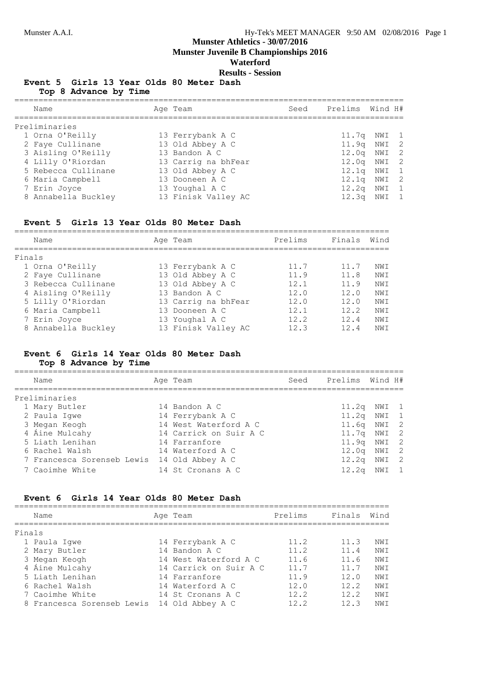**Munster Juvenile B Championships 2016**

# **Waterford**

**Results - Session**

#### **Event 5 Girls 13 Year Olds 80 Meter Dash Top 8 Advance by Time**

| Name                | Age Team            | Seed | Prelims Wind H#   |       |  |
|---------------------|---------------------|------|-------------------|-------|--|
| Preliminaries       |                     |      |                   |       |  |
| 1 Orna O'Reilly     | 13 Ferrybank A C    |      | 11.7q NWI 1       |       |  |
| 2 Faye Cullinane    | 13 Old Abbey A C    |      | 11.9q NWI 2       |       |  |
| 3 Aisling O'Reilly  | 13 Bandon A C       |      | $12.0q$ NWI $2$   |       |  |
| 4 Lilly O'Riordan   | 13 Carrig na bhFear |      | $12.0q$ NWI $2$   |       |  |
| 5 Rebecca Cullinane | 13 Old Abbey A C    |      | 12.1 <sub>q</sub> | NWI 1 |  |
| 6 Maria Campbell    | 13 Dooneen A C      |      | 12.1 <sub>q</sub> | NWI 2 |  |
| 7 Erin Joyce        | 13 Youghal A C      |      | $12.2q$ NWI 1     |       |  |
| 8 Annabella Buckley | 13 Finisk Valley AC |      | 12.3 <sub>q</sub> | NWI 1 |  |

#### **Event 5 Girls 13 Year Olds 80 Meter Dash**

| Name                | Age Team            | Prelims | Finals | Wind |
|---------------------|---------------------|---------|--------|------|
| Finals              |                     |         |        |      |
| 1 Orna O'Reilly     | 13 Ferrybank A C    | 11.7    | 11.7   | NW T |
| 2 Faye Cullinane    | 13 Old Abbey A C    | 11.9    | 11.8   | NWI  |
| 3 Rebecca Cullinane | 13 Old Abbey A C    | 12.1    | 11.9   | NWI  |
| 4 Aisling O'Reilly  | 13 Bandon A C       | 12.0    | 12.0   | NWI  |
| 5 Lilly O'Riordan   | 13 Carrig na bhFear | 12.0    | 12.0   | NWI  |
| 6 Maria Campbell    | 13 Dooneen A C      | 12.1    | 12.2   | NWI  |
| 7 Erin Joyce        | 13 Youghal A C      | 122     | 124    | NWI  |
| 8 Annabella Buckley | 13 Finisk Valley AC | 12.3    | 12.4   | NW T |
|                     |                     |         |        |      |

# **Event 6 Girls 14 Year Olds 80 Meter Dash**

# **Top 8 Advance by Time**

| Name                                        | Age Team               | Seed | Prelims           | Wind H# |                |
|---------------------------------------------|------------------------|------|-------------------|---------|----------------|
| Preliminaries                               |                        |      |                   |         |                |
| 1 Mary Butler                               | 14 Bandon A C          |      | 11.2q             | NWI 1   |                |
| 2 Paula Iqwe                                | 14 Ferrybank A C       |      | 11.2 <sub>q</sub> | NWI 1   |                |
| 3 Megan Keogh                               | 14 West Waterford A C  |      | 11.6q NWI 2       |         |                |
| 4 Áine Mulcahy                              | 14 Carrick on Suir A C |      | 11.7q NWI 2       |         |                |
| 5 Liath Lenihan                             | 14 Farranfore          |      | 11.9q NWI 2       |         |                |
| 6 Rachel Walsh                              | 14 Waterford A C       |      | $12.0q$ NWI $2$   |         |                |
| 7 Francesca Sorenseb Lewis 14 Old Abbey A C |                        |      | $12.2q$ NWI 2     |         |                |
| 7 Caoimhe White                             | 14 St Cronans A C      |      | 12.2q             | NWI     | $\overline{1}$ |
|                                             |                        |      |                   |         |                |

#### **Event 6 Girls 14 Year Olds 80 Meter Dash**

|        | Name                       | Age Team               | Prelims | Finals   | Wind |
|--------|----------------------------|------------------------|---------|----------|------|
| Finals |                            |                        |         |          |      |
|        | 1 Paula Iqwe               | 14 Ferrybank A C       | 11.2    | 11.3     | NW T |
|        | 2 Mary Butler              | 14 Bandon A C          | 11.2    | 11.4     | NWI  |
|        | 3 Megan Keogh              | 14 West Waterford A C  | 11.6    | 11.6     | NWI  |
|        | 4 Áine Mulcahy             | 14 Carrick on Suir A C | 11.7    | $11 \t7$ | NWI  |
|        | 5 Liath Lenihan            | 14 Farranfore          | 11.9    | 12.0     | NWI  |
|        | 6 Rachel Walsh             | 14 Waterford A C       | 12.0    | 12.2     | NWI  |
|        | 7 Caoimhe White            | 14 St Cronans A C      | 12.2    | 12.2     | NWI  |
|        | 8 Francesca Sorenseb Lewis | 14 Old Abbey A C       | 12.2    | 12.3     | NW T |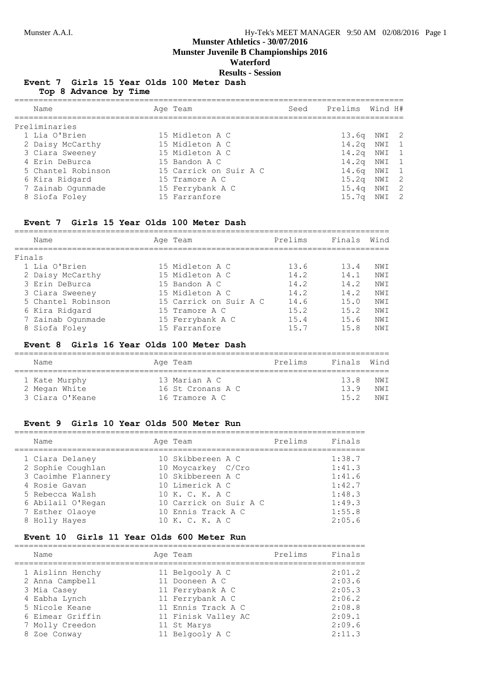**Munster Juvenile B Championships 2016**

# **Waterford**

**Results - Session**

#### **Event 7 Girls 15 Year Olds 100 Meter Dash**

**Top 8 Advance by Time**

| Name               | Age Team               | Seed | Prelims           | Wind H# |  |
|--------------------|------------------------|------|-------------------|---------|--|
| Preliminaries      |                        |      |                   |         |  |
| 1 Lia O'Brien      | 15 Midleton A C        |      | 13.6q NWI 2       |         |  |
| 2 Daisy McCarthy   | 15 Midleton A C        |      | $14.2q$ NWI 1     |         |  |
| 3 Ciara Sweeney    | 15 Midleton A C        |      | $14.2q$ NWI $1$   |         |  |
| 4 Erin DeBurca     | 15 Bandon A C          |      | $14.2q$ NWI $1$   |         |  |
| 5 Chantel Robinson | 15 Carrick on Suir A C |      | 14.6q NWI 1       |         |  |
| 6 Kira Ridgard     | 15 Tramore A C         |      | 15.2 <sub>q</sub> | NWI 2   |  |
| 7 Zainab Oqunmade  | 15 Ferrybank A C       |      | 15.4 <sub>q</sub> | NWI 2   |  |
| 8 Siofa Foley      | 15 Farranfore          |      | 15.7 <sub>q</sub> | NWI 2   |  |
|                    |                        |      |                   |         |  |

#### **Event 7 Girls 15 Year Olds 100 Meter Dash**

|        | Name               | Age Team               | Prelims | Finals | Wind            |
|--------|--------------------|------------------------|---------|--------|-----------------|
| Finals |                    |                        |         |        |                 |
|        | 1 Lia O'Brien      | 15 Midleton A C        | 13.6    | 13.4   | NWI             |
|        | 2 Daisy McCarthy   | 15 Midleton A C        | 14.2    | 14.1   | NWI             |
|        | 3 Erin DeBurca     | 15 Bandon A C          | 14.2    | 14.2   | NW T            |
|        | 3 Ciara Sweeney    | 15 Midleton A C        | 14.2    | 14.2   | NW <sub>T</sub> |
|        | 5 Chantel Robinson | 15 Carrick on Suir A C | 14.6    | 15.0   | NWI             |
|        | 6 Kira Ridgard     | 15 Tramore A C         | 15.2    | 15.2   | NWI             |
|        | 7 Zainab Ogunmade  | 15 Ferrybank A C       | 15.4    | 1.5.6  | NWI             |
|        | 8 Siofa Foley      | 15 Farranfore          | 15.7    | 15.8   | NW T            |

#### **Event 8 Girls 16 Year Olds 100 Meter Dash**

| Name                             | Age Team                            | Prelims | Finals Wind |              |
|----------------------------------|-------------------------------------|---------|-------------|--------------|
| 1 Kate Murphy                    | 13 Marian A C                       |         | 13 R<br>139 | NW T         |
| 2 Megan White<br>3 Ciara O'Keane | 16 St Cronans A C<br>16 Tramore A C |         | 15.2        | NW T<br>NW T |

#### **Event 9 Girls 10 Year Olds 500 Meter Run**

| Name               | Age Team               | Prelims | Finals |
|--------------------|------------------------|---------|--------|
| 1 Ciara Delaney    | 10 Skibbereen A C      |         | 1:38.7 |
| 2 Sophie Coughlan  | 10 Moycarkey C/Cro     |         | 1:41.3 |
| 3 Caoimhe Flannery | 10 Skibbereen A C      |         | 1:41.6 |
| 4 Rosie Gavan      | 10 Limerick A C        |         | 1:42.7 |
| 5 Rebecca Walsh    | 10 K. C. K. A C        |         | 1:48.3 |
| 6 Abilail O'Regan  | 10 Carrick on Suir A C |         | 1:49.3 |
| 7 Esther Olaove    | 10 Ennis Track A C     |         | 1:55.8 |
| 8 Holly Hayes      | 10 K. C. K. A C        |         | 2:05.6 |

#### **Event 10 Girls 11 Year Olds 600 Meter Run**

| Name             | Age Team            | Prelims | Finals |
|------------------|---------------------|---------|--------|
| 1 Aislinn Henchy | 11 Belgooly A C     |         | 2:01.2 |
| 2 Anna Campbell  | 11 Dooneen A C      |         | 2:03.6 |
| 3 Mia Casey      | 11 Ferrybank A C    |         | 2:05.3 |
| 4 Eabha Lynch    | 11 Ferrybank A C    |         | 2:06.2 |
| 5 Nicole Keane   | 11 Ennis Track A C  |         | 2:08.8 |
| 6 Eimear Griffin | 11 Finisk Valley AC |         | 2:09.1 |
| 7 Molly Creedon  | 11 St Marys         |         | 2:09.6 |
| 8 Zoe Conway     | 11 Belgooly A C     |         | 2:11.3 |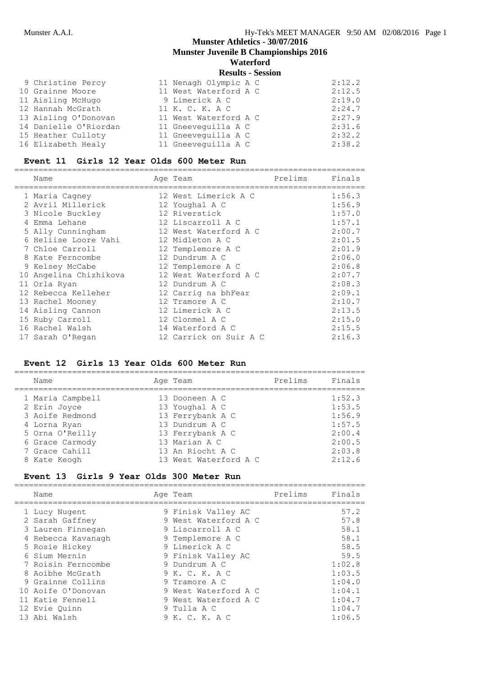**Munster Juvenile B Championships 2016**

# **Waterford**

|  | <b>Results - Session</b> |
|--|--------------------------|
|--|--------------------------|

| 9 Christine Percy     | 11 Nenagh Olympic A C | 2:12.2 |
|-----------------------|-----------------------|--------|
| 10 Grainne Moore      | 11 West Waterford A C | 2:12.5 |
| 11 Aisling McHugo     | 9 Limerick A C        | 2:19.0 |
| 12 Hannah McGrath     | 11 K. C. K. A C       | 2:24.7 |
| 13 Aisling O'Donovan  | 11 West Waterford A C | 2:27.9 |
| 14 Danielle O'Riordan | 11 Gneevequilla A C   | 2:31.6 |
| 15 Heather Culloty    | 11 Gneeveguilla A C   | 2:32.2 |
| 16 Elizabeth Healy    | 11 Gneeveguilla A C   | 2:38.2 |

# **Event 11 Girls 12 Year Olds 600 Meter Run**

| Name                   |  | Prelims                                                                                                                                                                                                                                                                                                                                                                 | Finals |
|------------------------|--|-------------------------------------------------------------------------------------------------------------------------------------------------------------------------------------------------------------------------------------------------------------------------------------------------------------------------------------------------------------------------|--------|
| 1 Maria Cagney         |  |                                                                                                                                                                                                                                                                                                                                                                         | 1:56.3 |
| 2 Avril Millerick      |  |                                                                                                                                                                                                                                                                                                                                                                         | 1:56.9 |
| 3 Nicole Buckley       |  |                                                                                                                                                                                                                                                                                                                                                                         | 1:57.0 |
| 4 Emma Lehane          |  |                                                                                                                                                                                                                                                                                                                                                                         | 1:57.1 |
| 5 Ally Cunningham      |  |                                                                                                                                                                                                                                                                                                                                                                         | 2:00.7 |
| 6 Heliise Loore Vahi   |  |                                                                                                                                                                                                                                                                                                                                                                         | 2:01.5 |
| 7 Chloe Carroll        |  |                                                                                                                                                                                                                                                                                                                                                                         | 2:01.9 |
| 8 Kate Ferncombe       |  |                                                                                                                                                                                                                                                                                                                                                                         | 2:06.0 |
| 9 Kelsey McCabe        |  |                                                                                                                                                                                                                                                                                                                                                                         | 2:06.8 |
| 10 Angelina Chizhikova |  |                                                                                                                                                                                                                                                                                                                                                                         | 2:07.7 |
| 11 Orla Ryan           |  |                                                                                                                                                                                                                                                                                                                                                                         | 2:08.3 |
| 12 Rebecca Kelleher    |  |                                                                                                                                                                                                                                                                                                                                                                         | 2:09.1 |
| 13 Rachel Mooney       |  |                                                                                                                                                                                                                                                                                                                                                                         | 2:10.7 |
| 14 Aisling Cannon      |  |                                                                                                                                                                                                                                                                                                                                                                         | 2:13.5 |
| 15 Ruby Carroll        |  |                                                                                                                                                                                                                                                                                                                                                                         | 2:15.0 |
| 16 Rachel Walsh        |  |                                                                                                                                                                                                                                                                                                                                                                         | 2:15.5 |
| 17 Sarah O'Regan       |  |                                                                                                                                                                                                                                                                                                                                                                         | 2:16.3 |
|                        |  | Age Team<br>12 West Limerick A C<br>12 Youghal A C<br>12 Riverstick<br>12 Liscarroll A C<br>12 West Waterford A C<br>12 Midleton A C<br>12 Templemore A C<br>12 Dundrum A C<br>12 Templemore A C<br>12 West Waterford A C<br>12 Dundrum A C<br>12 Carrig na bhFear<br>12 Tramore A C<br>12 Limerick A C<br>12 Clonmel A C<br>14 Waterford A C<br>12 Carrick on Suir A C |        |

# **Event 12 Girls 13 Year Olds 600 Meter Run**

| Name                                                                                   | Age Team                                                                                   | Prelims | Finals                                         |
|----------------------------------------------------------------------------------------|--------------------------------------------------------------------------------------------|---------|------------------------------------------------|
| 1 Maria Campbell<br>2 Erin Joyce<br>3 Aoife Redmond<br>4 Lorna Ryan<br>5 Orna O'Reilly | 13 Dooneen A C<br>13 Youghal A C<br>13 Ferrybank A C<br>13 Dundrum A C<br>13 Ferrybank A C |         | 1:52.3<br>1:53.5<br>1:56.9<br>1:57.5<br>2:00.4 |
| 6 Grace Carmody<br>7 Grace Cahill<br>8 Kate Keogh                                      | 13 Marian A C<br>13 An Riocht A C<br>13 West Waterford A C                                 |         | 2:00.5<br>2:03.8<br>2:12.6                     |

#### **Event 13 Girls 9 Year Olds 300 Meter Run**

| Name               | Age Team             | Prelims | Finals |
|--------------------|----------------------|---------|--------|
| 1 Lucy Nugent      | 9 Finisk Valley AC   |         | 57.2   |
| 2 Sarah Gaffney    | 9 West Waterford A C |         | 57.8   |
| 3 Lauren Finnegan  | 9 Liscarroll A C     |         | 58.1   |
| 4 Rebecca Kavanagh | 9 Templemore A C     |         | 58.1   |
| 5 Rosie Hickey     | 9 Limerick A C       |         | 58.5   |
| 6 Sium Mernin      | 9 Finisk Valley AC   |         | 59.5   |
| 7 Roisin Ferncombe | 9 Dundrum A C        |         | 1:02.8 |
| 8 Aoibhe McGrath   | 9 K. C. K. A C       |         | 1:03.5 |
| 9 Grainne Collins  | 9 Tramore A C        |         | 1:04.0 |
| 10 Aoife O'Donovan | 9 West Waterford A C |         | 1:04.1 |
| 11 Katie Fennell   | 9 West Waterford A C |         | 1:04.7 |
| 12 Evie Ouinn      | 9 Tulla A C          |         | 1:04.7 |
| 13 Abi Walsh       | 9 K. C. K. A C       |         | 1:06.5 |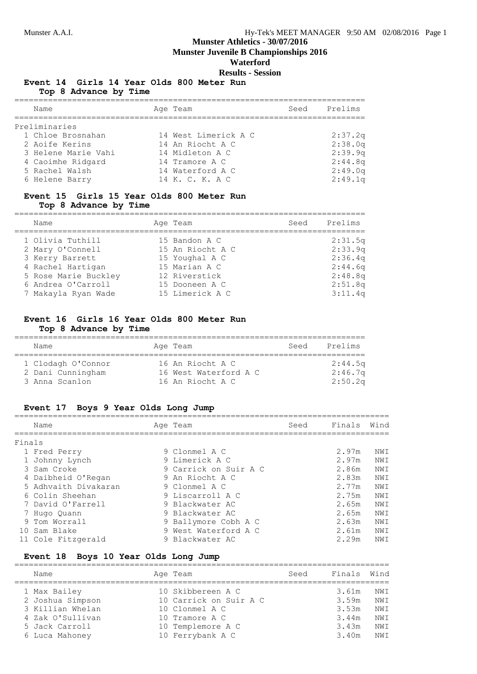**Munster Juvenile B Championships 2016**

# **Waterford**

**Results - Session**

# **Event 14 Girls 14 Year Olds 800 Meter Run**

**Top 8 Advance by Time**

| Name                | Age Team             | Seed | Prelims |
|---------------------|----------------------|------|---------|
| Preliminaries       |                      |      |         |
| 1 Chloe Brosnahan   | 14 West Limerick A C |      | 2:37.2q |
| 2 Aoife Kerins      | 14 An Riocht A C     |      | 2:38.0q |
| 3 Helene Marie Vahi | 14 Midleton A C      |      | 2:39.9q |
| 4 Caoimhe Ridgard   | 14 Tramore A C       |      | 2:44.8q |
| 5 Rachel Walsh      | 14 Waterford A C     |      | 2:49.0q |
| 6 Helene Barry      | 14 K. C. K. A C      |      | 2:49.1q |

#### **Event 15 Girls 15 Year Olds 800 Meter Run Top 8 Advance by Time**

| Name                 | Age Team         | Seed | Prelims |
|----------------------|------------------|------|---------|
| 1 Olivia Tuthill     | 15 Bandon A C    |      | 2:31.5q |
| 2 Mary O'Connell     | 15 An Riocht A C |      | 2:33.9q |
| 3 Kerry Barrett      | 15 Youghal A C   |      | 2:36.4q |
| 4 Rachel Hartigan    | 15 Marian A C    |      | 2:44.6q |
| 5 Rose Marie Buckley | 12 Riverstick    |      | 2:48.8q |
| 6 Andrea O'Carroll   | 15 Dooneen A C   |      | 2:51.8q |
| 7 Makayla Ryan Wade  | 15 Limerick A C  |      | 3:11.4q |

# **Event 16 Girls 16 Year Olds 800 Meter Run**

# **Top 8 Advance by Time**

| Name               | Age Team              | Seed | Prelims |
|--------------------|-----------------------|------|---------|
| 1 Clodagh O'Connor | 16 An Riocht A C      |      | 2:44.5q |
| 2 Dani Cunningham  | 16 West Waterford A C |      | 2:46.7q |
| 3 Anna Scanlon     | 16 An Riocht A C      |      | 2:50.2q |

#### **Event 17 Boys 9 Year Olds Long Jump**

|        | Name                 | Age Team              | Seed | Finals | Wind |
|--------|----------------------|-----------------------|------|--------|------|
| Finals |                      |                       |      |        |      |
|        | 1 Fred Perry         | 9 Clonmel A C         |      | 2.97m  | NWI  |
|        | 1 Johnny Lynch       | 9 Limerick A C        |      | 2.97m  | NWI  |
|        | 3 Sam Croke          | 9 Carrick on Suir A C |      | 2.86m  | NWI  |
|        | 4 Daibheid O'Regan   | 9 An Riocht A C       |      | 2.83m  | NWI  |
|        | 5 Adhvaith Divakaran | 9 Clonmel A C         |      | 2.77m  | NWI  |
|        | 6 Colin Sheehan      | 9 Liscarroll A C      |      | 2.75m  | NWI  |
|        | 7 David O'Farrell    | 9 Blackwater AC       |      | 2.65m  | NWI  |
|        | 7 Hugo Quann         | 9 Blackwater AC       |      | 2.65m  | NWI  |
|        | 9 Tom Worrall        | 9 Ballymore Cobh A C  |      | 2.63m  | NWI  |
|        | 10 Sam Blake         | 9 West Waterford A C  |      | 2.61m  | NWI  |
|        | 11 Cole Fitzgerald   | 9 Blackwater AC       |      | 2.29m  | NWI  |

# **Event 18 Boys 10 Year Olds Long Jump**

| Name             | Age Team               | Seed | Finals | Wind |
|------------------|------------------------|------|--------|------|
| 1 Max Bailey     | 10 Skibbereen A C      |      | 3.61m  | NWI  |
| 2 Joshua Simpson | 10 Carrick on Suir A C |      | 3.59m  | NWI  |
| 3 Killian Whelan | 10 Clonmel A C         |      | 3.53m  | NWI  |
| 4 Zak O'Sullivan | 10 Tramore A C         |      | 3.44m  | NWI  |
| 5 Jack Carroll   | 10 Templemore A C      |      | 3.43m  | NWI  |
| 6 Luca Mahoney   | 10 Ferrybank A C       |      | 3.40m  | NWI  |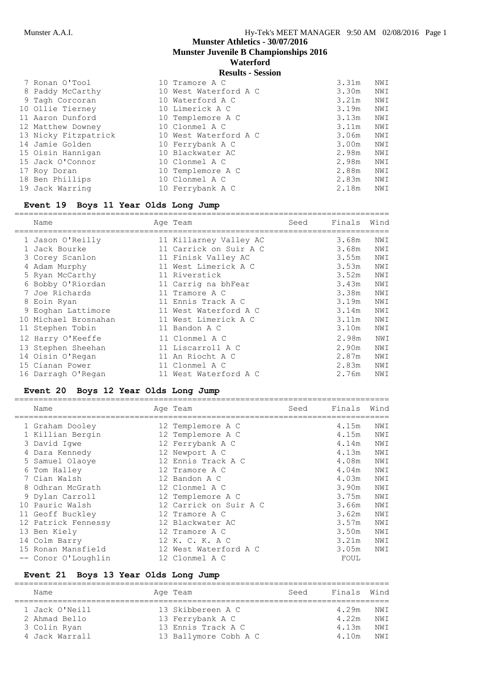# **Munster Athletics - 30/07/2016 Munster Juvenile B Championships 2016**

# **Waterford**

**Results - Session**

| 7 Ronan O'Tool       | 10 Tramore A C        | 3.31m | NWI |
|----------------------|-----------------------|-------|-----|
| 8 Paddy McCarthy     | 10 West Waterford A C | 3.30m | NWI |
| 9 Tagh Corcoran      | 10 Waterford A C      | 3.21m | NWI |
| 10 Ollie Tierney     | 10 Limerick A C       | 3.19m | NWI |
| 11 Aaron Dunford     | 10 Templemore A C     | 3.13m | NWI |
| 12 Matthew Downey    | 10 Clonmel A C        | 3.11m | NWI |
| 13 Nicky Fitzpatrick | 10 West Waterford A C | 3.06m | NWI |
| 14 Jamie Golden      | 10 Ferrybank A C      | 3.00m | NWI |
| 15 Oisin Hannigan    | 10 Blackwater AC      | 2.98m | NWI |
| 15 Jack O'Connor     | 10 Clonmel A C        | 2.98m | NWI |
| 17 Roy Doran         | 10 Templemore A C     | 2.88m | NWI |
| 18 Ben Phillips      | 10 Clonmel A C        | 2.83m | NWI |
| 19 Jack Warring      | 10 Ferrybank A C      | 2.18m | NWI |

# **Event 19 Boys 11 Year Olds Long Jump**

| Name                 | Age Team               | Seed | Finals | Wind |
|----------------------|------------------------|------|--------|------|
| 1 Jason O'Reilly     | 11 Killarney Valley AC |      | 3.68m  | NWI  |
| 1 Jack Bourke        | 11 Carrick on Suir A C |      | 3.68m  | NWI  |
| 3 Corey Scanlon      | 11 Finisk Valley AC    |      | 3.55m  | NWI  |
| 4 Adam Murphy        | 11 West Limerick A C   |      | 3.53m  | NWI  |
| 5 Ryan McCarthy      | 11 Riverstick          |      | 3.52m  | NWI  |
| 6 Bobby O'Riordan    | 11 Carrig na bhFear    |      | 3.43m  | NWI  |
| 7 Joe Richards       | 11 Tramore A C         |      | 3.38m  | NWI  |
| 8 Eoin Ryan          | 11 Ennis Track A C     |      | 3.19m  | NWI  |
| 9 Eoghan Lattimore   | 11 West Waterford A C  |      | 3.14m  | NWI  |
| 10 Michael Brosnahan | 11 West Limerick A C   |      | 3.11m  | NWI  |
| 11 Stephen Tobin     | 11 Bandon A C          |      | 3.10m  | NWI  |
| 12 Harry O'Keeffe    | 11 Clonmel A C         |      | 2.98m  | NWI  |
| 13 Stephen Sheehan   | 11 Liscarroll A C      |      | 2.90m  | NWI  |
| 14 Oisin O'Regan     | 11 An Riocht A C       |      | 2.87m  | NWI  |
| 15 Cianan Power      | 11 Clonmel A C         |      | 2.83m  | NWI  |
| 16 Darragh O'Regan   | 11 West Waterford A C  |      | 2.76m  | NWI  |
|                      |                        |      |        |      |

# **Event 20 Boys 12 Year Olds Long Jump**

|   | Name                | Age Team               | Seed | Finals | Wind |
|---|---------------------|------------------------|------|--------|------|
|   | 1 Graham Dooley     | 12 Templemore A C      |      | 4.15m  | NWI  |
|   | 1 Killian Bergin    | 12 Templemore A C      |      | 4.15m  | NWI  |
|   | 3 David Iqwe        | 12 Ferrybank A C       |      | 4.14m  | NWI  |
|   | Dara Kennedy        | 12 Newport A C         |      | 4.13m  | NWI  |
|   | 5 Samuel Olaoye     | 12 Ennis Track A C     |      | 4.08m  | NWI  |
| 6 | Tom Halley          | 12 Tramore A C         |      | 4.04m  | NWI  |
|   | 7 Cian Walsh        | 12 Bandon A C          |      | 4.03m  | NWI  |
|   | 8 Odhran McGrath    | 12 Clonmel A C         |      | 3.90m  | NWI  |
|   | 9 Dylan Carroll     | 12 Templemore A C      |      | 3.75m  | NWI  |
|   | 10 Pauric Walsh     | 12 Carrick on Suir A C |      | 3.66m  | NWI  |
|   | 11 Geoff Buckley    | 12 Tramore A C         |      | 3.62m  | NWI  |
|   | 12 Patrick Fennessy | 12 Blackwater AC       |      | 3.57m  | NWI  |
|   | 13 Ben Kiely        | 12 Tramore A C         |      | 3.50m  | NWI  |
|   | 14 Colm Barry       | 12 K. C. K. A C        |      | 3.21m  | NWI  |
|   | 15 Ronan Mansfield  | 12 West Waterford A C  |      | 3.05m  | NWI  |
|   | -- Conor O'Loughlin | 12 Clonmel A C         |      | FOUL   |      |
|   |                     |                        |      |        |      |

# **Event 21 Boys 13 Year Olds Long Jump**

| Name           | Age Team              | Seed | Finals Wind |      |
|----------------|-----------------------|------|-------------|------|
|                |                       |      |             |      |
| 1 Jack O'Neill | 13 Skibbereen A C     |      | 4.29m       | NW T |
| 2 Ahmad Bello  | 13 Ferrybank A C      |      | 4.22m       | NWI  |
| 3 Colin Ryan   | 13 Ennis Track A C    |      | 4.13m       | NW T |
| 4 Jack Warrall | 13 Ballymore Cobh A C |      | 4.10m       | NW T |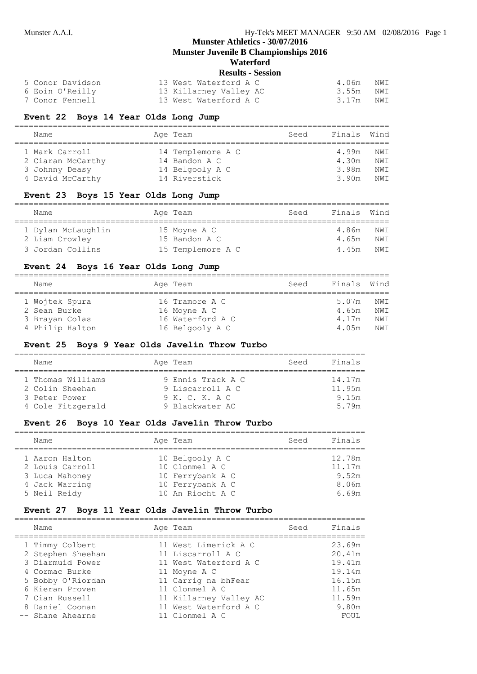=========================================================================

# **Munster Athletics - 30/07/2016**

**Munster Juvenile B Championships 2016**

# **Waterford**

|                  | <b>Results - Session</b> |       |     |
|------------------|--------------------------|-------|-----|
| 5 Conor Davidson | 13 West Waterford A C    | 4.06m | NWI |
| 6 Eoin O'Reilly  | 13 Killarney Valley AC   | 3.55m | NWI |
| 7 Conor Fennell  | 13 West Waterford A C    | 3.17m | NWI |

# **Event 22 Boys 14 Year Olds Long Jump**

| Name              | Age Team          | Seed | Finals | Wind |
|-------------------|-------------------|------|--------|------|
| 1 Mark Carroll    | 14 Templemore A C |      | 4.99m  | NWI  |
| 2 Ciaran McCarthy | 14 Bandon A C     |      | 4.30m  | NWI  |
| 3 Johnny Deasy    | 14 Belgooly A C   |      | 3.98m  | NWI  |
| 4 David McCarthy  | 14 Riverstick     |      | 3.90m  | NW T |

#### **Event 23 Boys 15 Year Olds Long Jump**

| Name                                 | Age Team                      | Seed | Finals Wind    |              |
|--------------------------------------|-------------------------------|------|----------------|--------------|
| 1 Dylan McLaughlin<br>2 Liam Crowley | 15 Moyne A C<br>15 Bandon A C |      | 4.86m<br>4.65m | NW T<br>NW T |
| 3 Jordan Collins                     | 15 Templemore A C             |      | 4.45m          | NW T         |

# **Event 24 Boys 16 Year Olds Long Jump**

| Name            | Age Team         | Seed | Finals Wind |     |
|-----------------|------------------|------|-------------|-----|
| 1 Wojtek Spura  | 16 Tramore A C   |      | 5.07m       | NWI |
| 2 Sean Burke    | 16 Moyne A C     |      | 4.65m       | NWI |
| 3 Brayan Colas  | 16 Waterford A C |      | 4.17m       | NWI |
| 4 Philip Halton | 16 Belgooly A C  |      | 4.05m       | NWI |

#### **Event 25 Boys 9 Year Olds Javelin Throw Turbo**

| Name              | Age Team          | Seed | Finals |
|-------------------|-------------------|------|--------|
| 1 Thomas Williams | 9 Ennis Track A C |      | 14.17m |
| 2 Colin Sheehan   | 9 Liscarroll A C  |      | 11.95m |
| 3 Peter Power     | 9 K. C. K. A C    |      | 9.15m  |
| 4 Cole Fitzgerald | 9 Blackwater AC   |      | 5 79m  |

#### **Event 26 Boys 10 Year Olds Javelin Throw Turbo**

| Name            | Age Team         | Seed | Finals |
|-----------------|------------------|------|--------|
| 1 Aaron Halton  | 10 Belgooly A C  |      | 12.78m |
| 2 Louis Carroll | 10 Clonmel A C   |      | 11.17m |
| 3 Luca Mahoney  | 10 Ferrybank A C |      | 9.52m  |
| 4 Jack Warring  | 10 Ferrybank A C |      | 8.06m  |
| 5 Neil Reidy    | 10 An Riocht A C |      | 6.69m  |

#### **Event 27 Boys 11 Year Olds Javelin Throw Turbo**

| Name              | Age Team               | Seed | Finals |
|-------------------|------------------------|------|--------|
| 1 Timmy Colbert   | 11 West Limerick A C   |      | 23.69m |
| 2 Stephen Sheehan | 11 Liscarroll A C      |      | 20.41m |
| 3 Diarmuid Power  | 11 West Waterford A C  |      | 19.41m |
| 4 Cormac Burke    | 11 Moyne A C           |      | 19.14m |
| 5 Bobby O'Riordan | 11 Carrig na bhFear    |      | 16.15m |
| 6 Kieran Proven   | 11 Clonmel A C         |      | 11.65m |
| 7 Cian Russell    | 11 Killarney Valley AC |      | 11.59m |
| 8 Daniel Coonan   | 11 West Waterford A C  |      | 9.80m  |
| -- Shane Ahearne  | 11 Clonmel A C         |      | FOUL.  |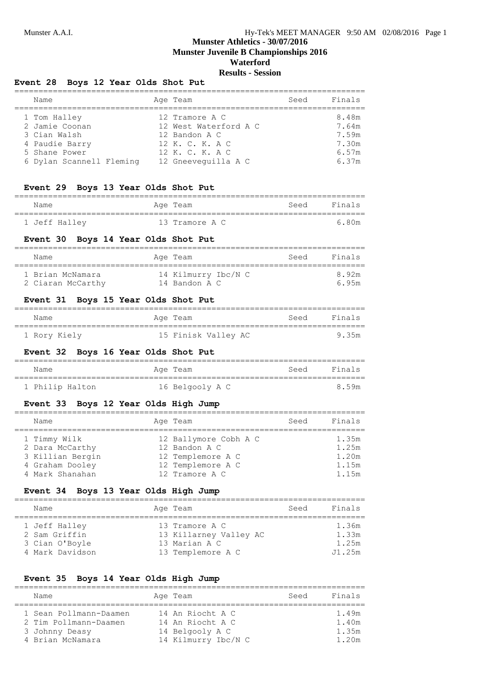# **Munster Athletics - 30/07/2016 Munster Juvenile B Championships 2016 Waterford**

# **Results - Session**

# **Event 28 Boys 12 Year Olds Shot Put**

| Name                     | Age Team              | Seed | Finals |
|--------------------------|-----------------------|------|--------|
| 1 Tom Halley             | 12 Tramore A C        |      | 8.48m  |
| 2 Jamie Coonan           | 12 West Waterford A C |      | 7.64m  |
| 3 Cian Walsh             | 12 Bandon A C         |      | 7.59m  |
| 4 Paudie Barry           | 12 K. C. K. A C       |      | 7.30m  |
| 5 Shane Power            | 12 K. C. K. A C       |      | 6.57m  |
| 6 Dylan Scannell Fleming | 12 Gneeveguilla A C   |      | 6.37m  |

# **Event 29 Boys 13 Year Olds Shot Put**

| Name          | Age Team       | Seed | Finals |
|---------------|----------------|------|--------|
| 1 Jeff Hallev | 13 Tramore A C |      | 6 80m  |

#### **Event 30 Boys 14 Year Olds Shot Put**

| Name                                  | Age Team                             | Seed | Finals        |
|---------------------------------------|--------------------------------------|------|---------------|
| 1 Brian McNamara<br>2 Ciaran McCarthy | 14 Kilmurry Ibc/N C<br>14 Bandon A C |      | 8 92m<br>695m |

# **Event 31 Boys 15 Year Olds Shot Put**

| Name         | Aqe Team            | Seed | Finals |
|--------------|---------------------|------|--------|
| 1 Rory Kiely | 15 Finisk Valley AC |      | 9.35m  |

# **Event 32 Boys 16 Year Olds Shot Put**

| Name            | Age Team        | Seed Finals |
|-----------------|-----------------|-------------|
| 1 Philip Halton | 16 Belgooly A C | 8.59m       |

#### **Event 33 Boys 12 Year Olds High Jump**

| Name                            | Age Team                               | Seed | Finals         |
|---------------------------------|----------------------------------------|------|----------------|
| 1 Timmy Wilk<br>2 Dara McCarthy | 12 Ballymore Cobh A C<br>12 Bandon A C |      | 1.35m<br>1.25m |
| 3 Killian Bergin                | 12 Templemore A C                      |      | 1.20m          |
| 4 Graham Dooley                 | 12 Templemore A C                      |      | 1.15m          |
| 4 Mark Shanahan                 | 12 Tramore A C                         |      | 1.15m          |

# **Event 34 Boys 13 Year Olds High Jump**

| Name                                                                | Age Team                                                                       | Seed | Finals                            |
|---------------------------------------------------------------------|--------------------------------------------------------------------------------|------|-----------------------------------|
| 1 Jeff Halley<br>2 Sam Griffin<br>3 Cian O'Boyle<br>4 Mark Davidson | 13 Tramore A C<br>13 Killarney Valley AC<br>13 Marian A C<br>13 Templemore A C |      | 1.36m<br>1.33m<br>1.25m<br>J1.25m |

#### **Event 35 Boys 14 Year Olds High Jump**

| Name                   | Age Team            | Seed | Finals |
|------------------------|---------------------|------|--------|
| 1 Sean Pollmann-Daamen | 14 An Riocht A C    |      | 1.49m  |
| 2 Tim Pollmann-Daamen  | 14 An Riocht A C    |      | 1.40m  |
| 3 Johnny Deasy         | 14 Belgooly A C     |      | 1.35m  |
| 4 Brian McNamara       | 14 Kilmurry Ibc/N C |      | 1.20m  |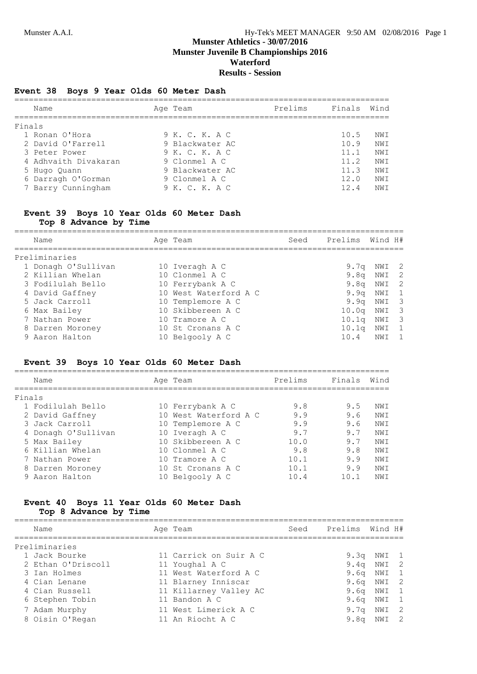# **Munster Athletics - 30/07/2016 Munster Juvenile B Championships 2016 Waterford Results - Session**

# **Event 38 Boys 9 Year Olds 60 Meter Dash**

| Name                 | Age Team        | Prelims | Finals | Wind |
|----------------------|-----------------|---------|--------|------|
| Finals               |                 |         |        |      |
| 1 Ronan O'Hora       | 9 K. C. K. A C  |         | 10.5   | NWI  |
| 2 David O'Farrell    | 9 Blackwater AC |         | 10.9   | NW T |
| 3 Peter Power        | 9 K. C. K. A C  |         | 11.1   | NW T |
| 4 Adhvaith Divakaran | 9 Clonmel A C   |         | 11.2   | NWI  |
| 5 Hugo Quann         | 9 Blackwater AC |         | 11.3   | NW T |
| 6 Darragh O'Gorman   | 9 Clonmel A C   |         | 12.0   | NW T |
| 7 Barry Cunningham   | 9 K. C. K. A C  |         | 124    | NW T |
|                      |                 |         |        |      |

# **Event 39 Boys 10 Year Olds 60 Meter Dash**

**Top 8 Advance by Time**

| Name                | Age Team              | Seed | Prelims Wind H#  |              |                          |
|---------------------|-----------------------|------|------------------|--------------|--------------------------|
| Preliminaries       |                       |      |                  |              |                          |
| 1 Donagh O'Sullivan | 10 Iveragh A C        |      | 9.7a             | NWI 2        |                          |
| 2 Killian Whelan    | 10 Clonmel A C        |      |                  | $9.8q$ NWI 2 |                          |
| 3 Fodilulah Bello   | 10 Ferrybank A C      |      | 9.8 <sub>q</sub> | NWI          | $\overline{2}$           |
| 4 David Gaffney     | 10 West Waterford A C |      | 9.9q             | NWI 1        |                          |
| 5 Jack Carroll      | 10 Templemore A C     |      | 9.9q             | NWI 3        |                          |
| 6 Max Bailey        | 10 Skibbereen A C     |      | 10.0q            | NWI          | $\overline{\phantom{a}}$ |
| 7 Nathan Power      | 10 Tramore A C        |      | 10.1q            | NWI          | $\overline{\phantom{a}}$ |
| 8 Darren Moroney    | 10 St Cronans A C     |      | 10.1q            | NWI          | $\mathbf{1}$             |
| 9 Aaron Halton      | 10 Belgooly A C       |      | 10.4             | NWI          |                          |

# **Event 39 Boys 10 Year Olds 60 Meter Dash**

|        | Name                | Age Team              | Prelims | Finals | Wind |
|--------|---------------------|-----------------------|---------|--------|------|
| Finals |                     |                       |         |        |      |
|        | 1 Fodilulah Bello   | 10 Ferrybank A C      | 9.8     | 9.5    | NWI  |
|        | 2 David Gaffney     | 10 West Waterford A C | 9.9     | 9.6    | NW T |
|        | 3 Jack Carroll      | 10 Templemore A C     | 9.9     | 9.6    | NW T |
|        | 4 Donagh O'Sullivan | 10 Iveragh A C        | 9.7     | 9.7    | NW T |
|        | 5 Max Bailey        | 10 Skibbereen A C     | 10.0    | 9.7    | NW T |
|        | 6 Killian Whelan    | 10 Clonmel A C        | 9.8     | 9.8    | NWI  |
|        | 7 Nathan Power      | 10 Tramore A C        | 10.1    | 9.9    | NWI  |
|        | 8 Darren Moroney    | 10 St Cronans A C     | 10.1    | 9.9    | NWI  |
|        | 9 Aaron Halton      | 10 Belgooly A C       | 10.4    | 10.1   | NWI  |

#### **Event 40 Boys 11 Year Olds 60 Meter Dash Top 8 Advance by Time**

| Name               | Age Team               | Seed | Prelims Wind H#  |                |  |
|--------------------|------------------------|------|------------------|----------------|--|
| Preliminaries      |                        |      |                  |                |  |
| 1 Jack Bourke      | 11 Carrick on Suir A C |      | 9.3q             | NWI 1          |  |
| 2 Ethan O'Driscoll | 11 Youghal A C         |      |                  | $9.4q$ NWI 2   |  |
| 3 Ian Holmes       | 11 West Waterford A C  |      |                  | $9.6q$ NWI $1$ |  |
| 4 Cian Lenane      | 11 Blarney Inniscar    |      |                  | $9.6q$ NWI 2   |  |
| 4 Cian Russell     | 11 Killarney Valley AC |      |                  | $9.6q$ NWI $1$ |  |
| 6 Stephen Tobin    | 11 Bandon A C          |      |                  | $9.6q$ NWI 1   |  |
| 7 Adam Murphy      | 11 West Limerick A C   |      | 9.7q             | NWI 2          |  |
| 8 Oisin O'Regan    | 11 An Riocht A C       |      | 9.8 <sub>q</sub> | NWI 2          |  |
|                    |                        |      |                  |                |  |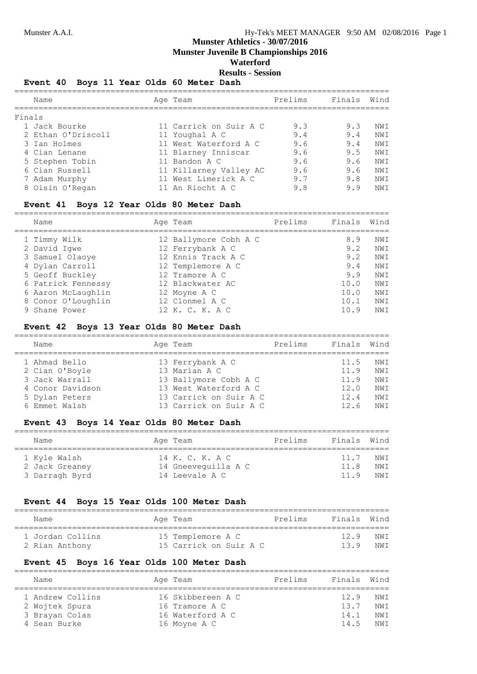**Munster Juvenile B Championships 2016**

# **Waterford**

**Results - Session**

#### **Event 40 Boys 11 Year Olds 60 Meter Dash**

|        | Name               | Age Team               | Prelims | Finals Wind |     |
|--------|--------------------|------------------------|---------|-------------|-----|
| Finals |                    |                        |         |             |     |
|        | 1 Jack Bourke      | 11 Carrick on Suir A C | 9.3     | 9.3         | NWI |
|        | 2 Ethan O'Driscoll | 11 Youghal A C         | 9.4     | 9.4         | NWI |
|        | 3 Ian Holmes       | 11 West Waterford A C  | 9.6     | 9.4         | NWI |
|        | 4 Cian Lenane      | 11 Blarney Inniscar    | 9.6     | 9.5         | NWI |
|        | 5 Stephen Tobin    | 11 Bandon A C          | 9.6     | 9.6         | NWI |
|        | 6 Cian Russell     | 11 Killarney Valley AC | 9.6     | 9.6         | NWI |
|        | 7 Adam Murphy      | 11 West Limerick A C   | 9.7     | 9.8         | NWI |
|        | 8 Oisin O'Regan    | 11 An Riocht A C       | 9.8     | 9.9         | NWI |
|        |                    |                        |         |             |     |

# **Event 41 Boys 12 Year Olds 80 Meter Dash**

| Name               | Age Team              | Prelims | Finals | Wind |
|--------------------|-----------------------|---------|--------|------|
| 1 Timmy Wilk       | 12 Ballymore Cobh A C |         | 8.9    | NW T |
| 2 David Iqwe       | 12 Ferrybank A C      |         | 9.2    | NWI  |
| 3 Samuel Olaove    | 12 Ennis Track A C    |         | 9.2    | NWI  |
| 4 Dylan Carroll    | 12 Templemore A C     |         | 9.4    | NWI  |
| 5 Geoff Buckley    | 12 Tramore A C        |         | 9.9    | NWI  |
| 6 Patrick Fennessy | 12 Blackwater AC      |         | 10.0   | NWI  |
| 6 Aaron McLaughlin | 12 Moyne A C          |         | 10.0   | NWI  |
| 8 Conor O'Loughlin | 12 Clonmel A C        |         | 10.1   | NWI  |
| 9 Shane Power      | 12 K. C. K. A C       |         | 10.9   | NW T |

#### **Event 42 Boys 13 Year Olds 80 Meter Dash**

| Name             | Age Team               | Prelims | Finals | Wind |
|------------------|------------------------|---------|--------|------|
| 1 Ahmad Bello    | 13 Ferrybank A C       |         | 11.5   | NWI  |
| 2 Cian O'Boyle   | 13 Marian A C          |         | 11.9   | NW T |
| 3 Jack Warrall   | 13 Ballymore Cobh A C  |         | 11.9   | NWI  |
| 4 Conor Davidson | 13 West Waterford A C  |         | 12.0   | NW T |
| 5 Dylan Peters   | 13 Carrick on Suir A C |         | 12.4   | NW T |
| 6 Emmet Walsh    | 13 Carrick on Suir A C |         | 12.6   | NW T |

# **Event 43 Boys 14 Year Olds 80 Meter Dash**

| Name           | Age Team            | Prelims | Finals Wind |      |
|----------------|---------------------|---------|-------------|------|
| 1 Kyle Walsh   | 14 K. C. K. A C     |         | 11.7        | NW T |
| 2 Jack Greaney | 14 Gneeveguilla A C |         | 11 R        | NW T |
| 3 Darragh Byrd | 14 Leevale A C      |         | 11 9        | NW T |

# **Event 44 Boys 15 Year Olds 100 Meter Dash**

| Name             | Age Team               | Prelims | Finals Wind |      |
|------------------|------------------------|---------|-------------|------|
| 1 Jordan Collins | 15 Templemore A C      |         | 129         | NW T |
| 2 Rian Anthony   | 15 Carrick on Suir A C |         | 139         | NW T |

#### **Event 45 Boys 16 Year Olds 100 Meter Dash**

| Name                                                                 | Age Team                                                                | Prelims | Finals Wind                 |                              |
|----------------------------------------------------------------------|-------------------------------------------------------------------------|---------|-----------------------------|------------------------------|
| 1 Andrew Collins<br>2 Wojtek Spura<br>3 Brayan Colas<br>4 Sean Burke | 16 Skibbereen A C<br>16 Tramore A C<br>16 Waterford A C<br>16 Moyne A C |         | 129<br>13.7<br>14.1<br>14 5 | NW T<br>NW T<br>NW T<br>NW T |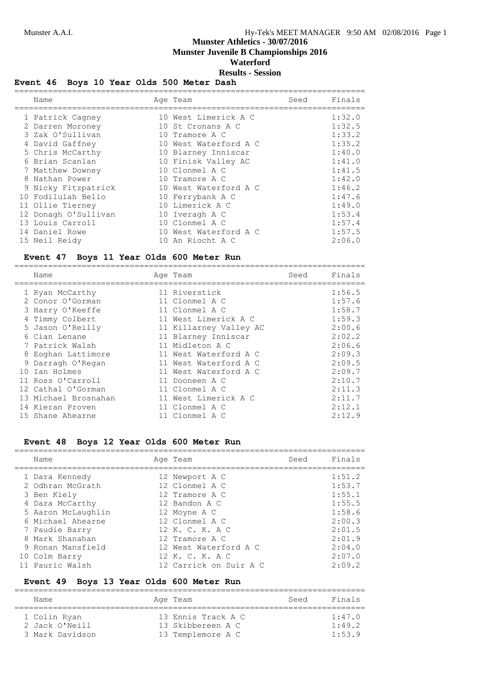**Munster Juvenile B Championships 2016**

# **Waterford**

#### **Results - Session**

# **Event 46 Boys 10 Year Olds 500 Meter Dash**

| Name                 |    | Age Team              | Seed | Finals |
|----------------------|----|-----------------------|------|--------|
| 1 Patrick Cagney     |    | 10 West Limerick A C  |      | 1:32.0 |
| 2 Darren Moroney     |    | 10 St Cronans A C     |      | 1:32.5 |
| 3 Zak O'Sullivan     |    | 10 Tramore A C        |      | 1:33.2 |
| 4 David Gaffney      |    | 10 West Waterford A C |      | 1:35.2 |
| 5 Chris McCarthy     |    | 10 Blarney Inniscar   |      | 1:40.0 |
| 6 Brian Scanlan      |    | 10 Finisk Valley AC   |      | 1:41.0 |
| 7 Matthew Downey     |    | 10 Clonmel A C        |      | 1:41.5 |
| 8 Nathan Power       |    | 10 Tramore A C        |      | 1:42.0 |
| 9 Nicky Fitzpatrick  |    | 10 West Waterford A C |      | 1:46.2 |
| 10 Fodilulah Bello   |    | 10 Ferrybank A C      |      | 1:47.6 |
| 11 Ollie Tierney     |    | 10 Limerick A C       |      | 1:49.0 |
| 12 Donagh O'Sullivan |    | 10 Iveragh A C        |      | 1:53.4 |
| 13 Louis Carroll     |    | 10 Clonmel A C        |      | 1:57.4 |
| 14 Daniel Rowe       | 10 | West Waterford A C    |      | 1:57.5 |
| 15 Neil Reidy        |    | 10 An Riocht A C      |      | 2:06.0 |

# **Event 47 Boys 11 Year Olds 600 Meter Run**

| Name                 | Age Team               | Seed | Finals |
|----------------------|------------------------|------|--------|
| 1 Ryan McCarthy      | 11 Riverstick          |      | 1:56.5 |
| 2 Conor O'Gorman     | 11 Clonmel A C         |      | 1:57.6 |
| 3 Harry O'Keeffe     | 11 Clonmel A C         |      | 1:58.7 |
| 4 Timmy Colbert      | 11 West Limerick A C   |      | 1:59.3 |
| 5 Jason O'Reilly     | 11 Killarney Valley AC |      | 2:00.6 |
| 6 Cian Lenane        | 11 Blarney Inniscar    |      | 2:02.2 |
| 7 Patrick Walsh      | 11 Midleton A C        |      | 2:06.6 |
| 8 Eoghan Lattimore   | 11 West Waterford A C  |      | 2:09.3 |
| 9 Darragh O'Regan    | 11 West Waterford A C  |      | 2:09.5 |
| 10 Ian Holmes        | 11 West Waterford A C  |      | 2:09.7 |
| 11 Ross O'Carroll    | 11 Dooneen A C         |      | 2:10.7 |
| 12 Cathal O'Gorman   | 11 Clonmel A C         |      | 2:11.3 |
| 13 Michael Brosnahan | 11 West Limerick A C   |      | 2:11.7 |
| 14 Kieran Proven     | 11 Clonmel A C         |      | 2:12.1 |
| 15 Shane Ahearne     | 11 Clonmel A C         |      | 2:12.9 |

#### **Event 48 Boys 12 Year Olds 600 Meter Run**

| Name               | Age Team               | Seed | Finals |
|--------------------|------------------------|------|--------|
| 1 Dara Kennedy     | 12 Newport A C         |      | 1:51.2 |
| 2 Odhran McGrath   | 12 Clonmel A C         |      | 1:53.7 |
| 3 Ben Kiely        | 12 Tramore A C         |      | 1:55.1 |
| 4 Dara McCarthy    | 12 Bandon A C          |      | 1:55.5 |
| 5 Aaron McLaughlin | 12 Moyne A C           |      | 1:58.6 |
| 6 Michael Ahearne  | 12 Clonmel A C         |      | 2:00.3 |
| 7 Paudie Barry     | 12 K. C. K. A C        |      | 2:01.5 |
| 8 Mark Shanahan    | 12 Tramore A C         |      | 2:01.9 |
| 9 Ronan Mansfield  | 12 West Waterford A C  |      | 2:04.0 |
| 10 Colm Barry      | 12 K. C. K. A C        |      | 2:07.0 |
| 11 Pauric Walsh    | 12 Carrick on Suir A C |      | 2:09.2 |

# **Event 49 Boys 13 Year Olds 600 Meter Run**

| Name                                              | Age Team                                                     | Seed | Finals                            |
|---------------------------------------------------|--------------------------------------------------------------|------|-----------------------------------|
| 1 Colin Ryan<br>2 Jack O'Neill<br>3 Mark Davidson | 13 Ennis Track A C<br>13 Skibbereen A C<br>13 Templemore A C |      | 1:47.0<br>$1 \cdot 49$ 2<br>1.539 |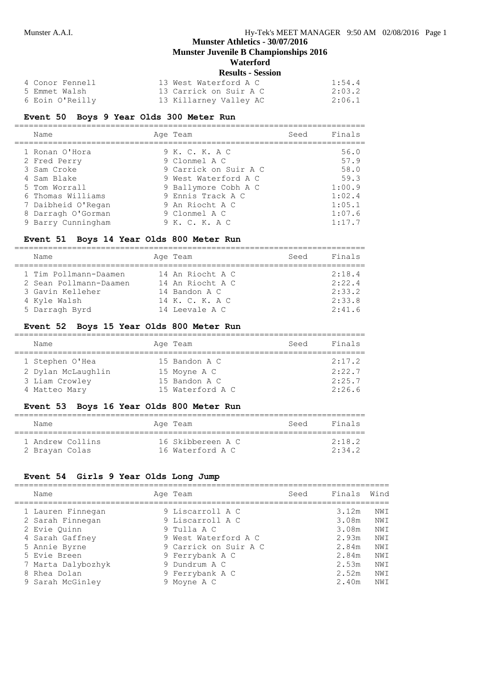**Munster Juvenile B Championships 2016**

# **Waterford**

| <b>Results - Session</b> |  |  |
|--------------------------|--|--|
|--------------------------|--|--|

| 4 Conor Fennell | 13 West Waterford A C  | 1:54.4 |
|-----------------|------------------------|--------|
| 5 Emmet Walsh   | 13 Carrick on Suir A C | 2:03.2 |
| 6 Eoin O'Reilly | 13 Killarney Valley AC | 2:06.1 |

# **Event 50 Boys 9 Year Olds 300 Meter Run**

| Name               | Age Team              | Seed | Finals |
|--------------------|-----------------------|------|--------|
| 1 Ronan O'Hora     | 9 K. C. K. A C        |      | 56.0   |
| 2 Fred Perry       | 9 Clonmel A C         |      | 57.9   |
| 3 Sam Croke        | 9 Carrick on Suir A C |      | 58.0   |
| 4 Sam Blake        | 9 West Waterford A C  |      | 59.3   |
| 5 Tom Worrall      | 9 Ballymore Cobh A C  |      | 1:00.9 |
| 6 Thomas Williams  | 9 Ennis Track A C     |      | 1:02.4 |
| 7 Daibheid O'Regan | 9 An Riocht A C       |      | 1:05.1 |
| 8 Darragh O'Gorman | 9 Clonmel A C         |      | 1:07.6 |
| 9 Barry Cunningham | 9 K. C. K. A C        |      | 1:17.7 |

#### **Event 51 Boys 14 Year Olds 800 Meter Run**

| Name                   | Age Team         | Seed | Finals |
|------------------------|------------------|------|--------|
| 1 Tim Pollmann-Daamen  | 14 An Riocht A C |      | 2:18.4 |
| 2 Sean Pollmann-Daamen | 14 An Riocht A C |      | 2:22.4 |
| 3 Gavin Kelleher       | 14 Bandon A C    |      | 2:33.2 |
| 4 Kyle Walsh           | 14 K. C. K. A C  |      | 2:33.8 |
| 5 Darragh Byrd         | 14 Leevale A C   |      | 2:41.6 |

#### **Event 52 Boys 15 Year Olds 800 Meter Run**

| Name               | Age Team         | Seed | Finals |
|--------------------|------------------|------|--------|
| 1 Stephen O'Hea    | 15 Bandon A C    |      | 2:17.2 |
| 2 Dylan McLaughlin | 15 Moyne A C     |      | 2:22.7 |
| 3 Liam Crowley     | 15 Bandon A C    |      | 2:25.7 |
| 4 Matteo Mary      | 15 Waterford A C |      | 2:26.6 |

# **Event 53 Boys 16 Year Olds 800 Meter Run**

| Name             |  | Age Team          | Seed | Finals        |
|------------------|--|-------------------|------|---------------|
| 1 Andrew Collins |  | 16 Skibbereen A C |      | $2 \cdot 182$ |
| 2 Brayan Colas   |  | 16 Waterford A C  |      | 2.34.2        |

# **Event 54 Girls 9 Year Olds Long Jump**

| Name               | Age Team              | Seed | Finals | Wind |
|--------------------|-----------------------|------|--------|------|
| 1 Lauren Finnegan  | 9 Liscarroll A C      |      | 3.12m  | NW T |
| 2 Sarah Finnegan   | 9 Liscarroll A C      |      | 3.08m  | NW T |
| 2 Evie Quinn       | 9 Tulla A C           |      | 3.08m  | NW T |
| 4 Sarah Gaffney    | 9 West Waterford A C  |      | 2.93m  | NW T |
| 5 Annie Byrne      | 9 Carrick on Suir A C |      | 2.84m  | NWI  |
| 5 Evie Breen       | 9 Ferrybank A C       |      | 2.84m  | NWI  |
| 7 Marta Dalybozhyk | 9 Dundrum A C         |      | 2.53m  | NWI  |
| 8 Rhea Dolan       | 9 Ferrybank A C       |      | 2.52m  | NWI  |
| 9 Sarah McGinley   | 9 Moyne A C           |      | 2.40m  | NW T |
|                    |                       |      |        |      |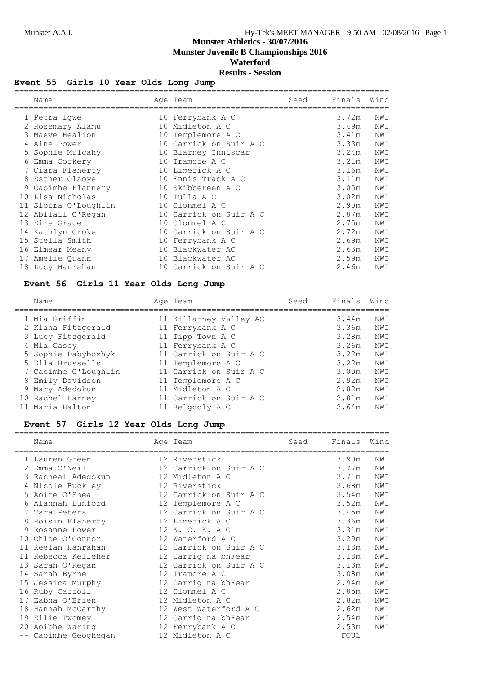# **Munster Athletics - 30/07/2016 Munster Juvenile B Championships 2016**

**Waterford**

# **Results - Session**

# **Event 55 Girls 10 Year Olds Long Jump**

| Name                 | Age Team               | Seed | Finals | Wind |
|----------------------|------------------------|------|--------|------|
| 1 Petra Igwe         | 10 Ferrybank A C       |      | 3.72m  | NWI  |
| 2 Rosemary Alamu     | 10 Midleton A C        |      | 3.49m  | NWI  |
| 3 Maeve Healion      | 10 Templemore A C      |      | 3.41m  | NWI  |
| 4 Aine Power         | 10 Carrick on Suir A C |      | 3.33m  | NWI  |
| 5 Sophie Mulcahy     | 10 Blarney Inniscar    |      | 3.24m  | NWI  |
| 6 Emma Corkery       | 10 Tramore A C         |      | 3.21m  | NWI  |
| 7 Ciara Flaherty     | 10 Limerick A C        |      | 3.16m  | NWI  |
| 8 Esther Olaoye      | 10 Ennis Track A C     |      | 3.11m  | NWI  |
| 9 Caoimhe Flannery   | 10 Skibbereen A C      |      | 3.05m  | NWI  |
| 10 Lisa Nicholas     | 10 Tulla A C           |      | 3.02m  | NWI  |
| 11 Siofra O'Loughlin | 10 Clonmel A C         |      | 2.90m  | NWI  |
| 12 Abilail O'Regan   | 10 Carrick on Suir A C |      | 2.87m  | NWI  |
| 13 Eire Grace        | 10 Clonmel A C         |      | 2.75m  | NWI  |
| 14 Kathlyn Croke     | 10 Carrick on Suir A C |      | 2.72m  | NWI  |
| 15 Stella Smith      | 10 Ferrybank A C       |      | 2.69m  | NWI  |
| 16 Eimear Meany      | 10 Blackwater AC       |      | 2.63m  | NWI  |
| 17 Amelie Quann      | 10 Blackwater AC       |      | 2.59m  | NWI  |
| 18 Lucy Hanrahan     | 10 Carrick on Suir A C |      | 2.46m  | NWI  |

# **Event 56 Girls 11 Year Olds Long Jump**

| Name                 | Age Team               | Seed | Finals | Wind |
|----------------------|------------------------|------|--------|------|
| 1 Mia Griffin        | 11 Killarney Valley AC |      | 3.44m  | NWI  |
| 2 Kiana Fitzgerald   | 11 Ferrybank A C       |      | 3.36m  | NWI  |
| 3 Lucy Fitzgerald    | 11 Tipp Town A C       |      | 3.28m  | NWI  |
| 4 Mia Casey          | 11 Ferrybank A C       |      | 3.26m  | NWI  |
| 5 Sophie Dabybozhyk  | 11 Carrick on Suir A C |      | 3.22m  | NWI  |
| 5 Ella Brussells     | 11 Templemore A C      |      | 3.22m  | NWI  |
| 7 Caoimhe O'Loughlin | 11 Carrick on Suir A C |      | 3.00m  | NWI  |
| 8 Emily Davidson     | 11 Templemore A C      |      | 2.92m  | NWI  |
| 9 Mary Adedokun      | 11 Midleton A C        |      | 2.82m  | NWI  |
| 10 Rachel Harney     | 11 Carrick on Suir A C |      | 2.81m  | NWI  |
| 11 Maria Halton      | 11 Belgooly A C        |      | 2.64m  | NWI  |

# **Event 57 Girls 12 Year Olds Long Jump**

| Name                 | Age Team               | Seed | Finals | Wind |
|----------------------|------------------------|------|--------|------|
| 1 Lauren Green       | 12 Riverstick          |      | 3.90m  | NWI  |
| 2 Emma O'Neill       | 12 Carrick on Suir A C |      | 3.77m  | NWI  |
| 3 Racheal Adedokun   | 12 Midleton A C        |      | 3.71m  | NWI  |
| 4 Nicole Buckley     | 12 Riverstick          |      | 3.68m  | NWI  |
| 5 Aoife O'Shea       | 12 Carrick on Suir A C |      | 3.54m  | NWI  |
| 6 Alannah Dunford    | 12 Templemore A C      |      | 3.52m  | NWI  |
| 7 Tara Peters        | 12 Carrick on Suir A C |      | 3.45m  | NWI  |
| 8 Roisin Flaherty    | 12 Limerick A C        |      | 3.36m  | NWI  |
| 9 Rosanne Power      | 12 K. C. K. A C        |      | 3.31m  | NWI  |
| 10 Chloe O'Connor    | 12 Waterford A C       |      | 3.29m  | NWI  |
| 11 Keelan Hanrahan   | 12 Carrick on Suir A C |      | 3.18m  | NWI  |
| 11 Rebecca Kelleher  | 12 Carrig na bhFear    |      | 3.18m  | NWI  |
| 13 Sarah O'Regan     | 12 Carrick on Suir A C |      | 3.13m  | NWI  |
| 14 Sarah Byrne       | 12 Tramore A C         |      | 3.08m  | NWI  |
| 15 Jessica Murphy    | 12 Carrig na bhFear    |      | 2.94m  | NWI  |
| 16 Ruby Carroll      | 12 Clonmel A C         |      | 2.85m  | NWI  |
| 17 Eabha O'Brien     | 12 Midleton A C        |      | 2.82m  | NWI  |
| 18 Hannah McCarthy   | 12 West Waterford A C  |      | 2.62m  | NWI  |
| 19 Ellie Twomey      | 12 Carrig na bhFear    |      | 2.54m  | NWI  |
| 20 Aoibhe Waring     | 12 Ferrybank A C       |      | 2.53m  | NWI  |
| -- Caoimhe Geoghegan | 12 Midleton A C        |      | FOUL   |      |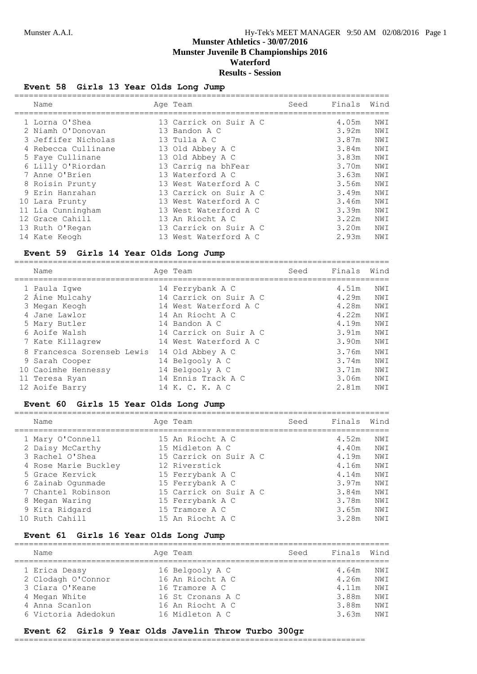==============================================================================

# **Munster Athletics - 30/07/2016 Munster Juvenile B Championships 2016 Waterford**

#### **Results - Session**

#### **Event 58 Girls 13 Year Olds Long Jump**

| Name                | Age Team               | Seed | Finals | Wind |
|---------------------|------------------------|------|--------|------|
| 1 Lorna O'Shea      | 13 Carrick on Suir A C |      | 4.05m  | NWI  |
| 2 Niamh O'Donovan   | 13 Bandon A C          |      | 3.92m  | NWI  |
| 3 Jeffifer Nicholas | 13 Tulla A C           |      | 3.87m  | NWI  |
| 4 Rebecca Cullinane | 13 Old Abbey A C       |      | 3.84m  | NWI  |
| 5 Faye Cullinane    | 13 Old Abbey A C       |      | 3.83m  | NWI  |
| 6 Lilly O'Riordan   | 13 Carrig na bhFear    |      | 3.70m  | NWI  |
| 7 Anne O'Brien      | 13 Waterford A C       |      | 3.63m  | NWI  |
| 8 Roisin Prunty     | 13 West Waterford A C  |      | 3.56m  | NWI  |
| 9 Erin Hanrahan     | 13 Carrick on Suir A C |      | 3.49m  | NWI  |
| 10 Lara Prunty      | 13 West Waterford A C  |      | 3.46m  | NWI  |
| 11 Lia Cunningham   | 13 West Waterford A C  |      | 3.39m  | NWI  |
| 12 Grace Cahill     | 13 An Riocht A C       |      | 3.22m  | NWI  |
| 13 Ruth O'Regan     | 13 Carrick on Suir A C |      | 3.20m  | NWI  |
| 14 Kate Keogh       | 13 West Waterford A C  |      | 2.93m  | NWI  |

#### **Event 59 Girls 14 Year Olds Long Jump**

| Name                       | Age Team               | Seed | Finals | Wind |
|----------------------------|------------------------|------|--------|------|
| 1 Paula Iqwe               | 14 Ferrybank A C       |      | 4.51m  | NWI  |
| 2 Áine Mulcahy             | 14 Carrick on Suir A C |      | 4.29m  | NWI  |
| 3 Megan Keogh              | 14 West Waterford A C  |      | 4.28m  | NWI  |
| 4 Jane Lawlor              | 14 An Riocht A C       |      | 4.22m  | NWI  |
| 5 Mary Butler              | 14 Bandon A C          |      | 4.19m  | NWI  |
| 6 Aoife Walsh              | 14 Carrick on Suir A C |      | 3.91m  | NWI  |
| 7 Kate Killagrew           | 14 West Waterford A C  |      | 3.90m  | NWI  |
| 8 Francesca Sorenseb Lewis | 14 Old Abbey A C       |      | 3.76m  | NWI  |
| 9 Sarah Cooper             | 14 Belgooly A C        |      | 3.74m  | NWI  |
| 10 Caoimhe Hennessy        | 14 Belgooly A C        |      | 3.71m  | NWI  |
| 11 Teresa Ryan             | 14 Ennis Track A C     |      | 3.06m  | NWI  |
| 12 Aoife Barry             | 14 K. C. K. A C        |      | 2.81m  | NWI  |

#### **Event 60 Girls 15 Year Olds Long Jump**

| Name                 | Age Team               | Seed | Finals | Wind |
|----------------------|------------------------|------|--------|------|
| 1 Mary O'Connell     | 15 An Riocht A C       |      | 4.52m  | NWI  |
| 2 Daisy McCarthy     | 15 Midleton A C        |      | 4.40m  | NWI  |
| 3 Rachel O'Shea      | 15 Carrick on Suir A C |      | 4.19m  | NWI  |
| 4 Rose Marie Buckley | 12 Riverstick          |      | 4.16m  | NWI  |
| 5 Grace Kervick      | 15 Ferrybank A C       |      | 4.14m  | NWI  |
| 6 Zainab Oqunmade    | 15 Ferrybank A C       |      | 3.97m  | NWI  |
| 7 Chantel Robinson   | 15 Carrick on Suir A C |      | 3.84m  | NW T |
| 8 Megan Waring       | 15 Ferrybank A C       |      | 3.78m  | NWI  |
| 9 Kira Ridgard       | 15 Tramore A C         |      | 3.65m  | NWI  |
| 10 Ruth Cahill       | 15 An Riocht A C       |      | 3.28m  | NW T |

#### **Event 61 Girls 16 Year Olds Long Jump**

| Name                | Age Team          | Seed | Finals | Wind |
|---------------------|-------------------|------|--------|------|
| 1 Erica Deasy       | 16 Belgooly A C   |      | 4.64m  | NW T |
| 2 Clodagh O'Connor  | 16 An Riocht A C  |      | 4.26m  | NW T |
| 3 Ciara O'Keane     | 16 Tramore A C    |      | 4.11m  | NW T |
| 4 Megan White       | 16 St Cronans A C |      | 3.88m  | NW T |
| 4 Anna Scanlon      | 16 An Riocht A C  |      | 3.88m  | NW T |
| 6 Victoria Adedokun | 16 Midleton A C   |      | 3.63m  | NW T |
|                     |                   |      |        |      |

#### **Event 62 Girls 9 Year Olds Javelin Throw Turbo 300gr**

=========================================================================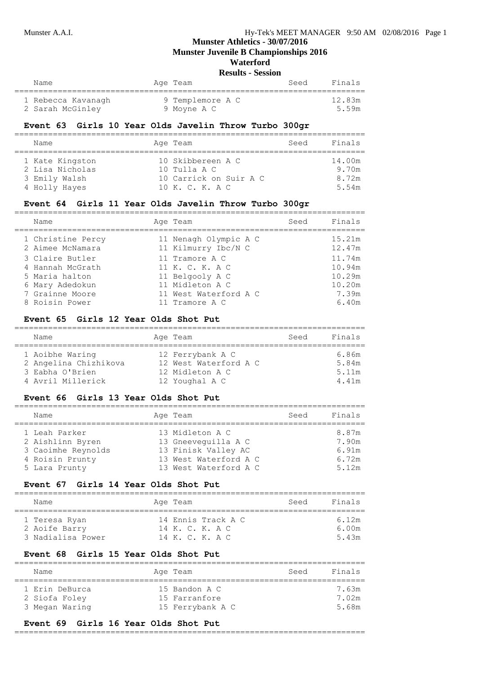**Munster Juvenile B Championships 2016**

# **Waterford**

**Results - Session**

| Name                                   | Age Team                        | Seed | Finals |
|----------------------------------------|---------------------------------|------|--------|
|                                        |                                 |      | 12.83m |
| 1 Rebecca Kavanagh<br>2 Sarah McGinley | 9 Templemore A C<br>9 Moyne A C |      | 5.59m  |
|                                        |                                 |      |        |

#### **Event 63 Girls 10 Year Olds Javelin Throw Turbo 300gr**

| Name                                                                 | Age Team                                                                         | Seed | Finals                            |
|----------------------------------------------------------------------|----------------------------------------------------------------------------------|------|-----------------------------------|
| 1 Kate Kingston<br>2 Lisa Nicholas<br>3 Emily Walsh<br>4 Holly Hayes | 10 Skibbereen A C<br>$10$ Tulla A C<br>10 Carrick on Suir A C<br>10 K. C. K. A C |      | 14.00m<br>9.70m<br>8.72m<br>5.54m |

#### **Event 64 Girls 11 Year Olds Javelin Throw Turbo 300gr**

| Name                                  | Age Team                                     | Seed | Finals           |
|---------------------------------------|----------------------------------------------|------|------------------|
| 1 Christine Percy<br>2 Aimee McNamara | 11 Nenagh Olympic A C<br>11 Kilmurry Ibc/N C |      | 15.21m<br>12.47m |
| 3 Claire Butler                       | 11 Tramore A C                               |      | 11.74m           |
| 4 Hannah McGrath                      | 11 K. C. K. A C                              |      | 10.94m           |
| 5 Maria halton                        | 11 Belgooly A C                              |      | 10.29m           |
| 6 Mary Adedokun                       | 11 Midleton A C                              |      | 10.20m           |
| 7 Grainne Moore                       | 11 West Waterford A C                        |      | 7.39m            |
| 8 Roisin Power                        | 11 Tramore A C                               |      | 6.40m            |

#### **Event 65 Girls 12 Year Olds Shot Put**

| Name                  | Age Team              | Seed | Finals |
|-----------------------|-----------------------|------|--------|
| 1 Aoibhe Waring       | 12 Ferrybank A C      |      | 6.86m  |
| 2 Angelina Chizhikova | 12 West Waterford A C |      | 5.84m  |
| 3 Eabha O'Brien       | 12 Midleton A C       |      | 5.11m  |
| 4 Avril Millerick     | 12 Youghal A C        |      | 4.41m  |

#### **Event 66 Girls 13 Year Olds Shot Put**

| Name               | Age Team              | Seed | Finals |
|--------------------|-----------------------|------|--------|
| 1 Leah Parker      | 13 Midleton A C       |      | 8.87m  |
| 2 Aishlinn Byren   | 13 Gneevequilla A C   |      | 7.90m  |
| 3 Caoimhe Reynolds | 13 Finisk Valley AC   |      | 6.91m  |
| 4 Roisin Prunty    | 13 West Waterford A C |      | 6.72m  |
| 5 Lara Prunty      | 13 West Waterford A C |      | 5.12m  |

#### **Event 67 Girls 14 Year Olds Shot Put**

| Name              | Age Team           | Finals<br>Seed |
|-------------------|--------------------|----------------|
| 1 Teresa Ryan     | 14 Ennis Track A C | 6.12m          |
| 2 Aoife Barry     | 14 K. C. K. A C    | 6.00m          |
| 3 Nadialisa Power | 14 K. C. K. A C    | 5.43m          |

#### **Event 68 Girls 15 Year Olds Shot Put**

| Name           | Age Team         | Seed | Finals |
|----------------|------------------|------|--------|
| 1 Erin DeBurca | 15 Bandon A C    |      | 7 63m  |
| 2 Siofa Foley  | 15 Farranfore    |      | 7.02m  |
| 3 Megan Waring | 15 Ferrybank A C |      | 5.68m  |

#### **Event 69 Girls 16 Year Olds Shot Put**

#### =========================================================================